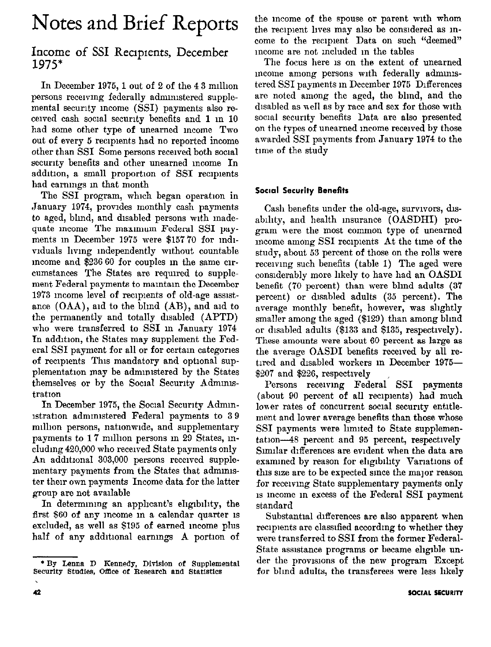# Notes and Brief Reports

## Income of SSI Recipients, December 1975\*

In December 1975, 1 out of 2 of the  $4.3$  million persons receiving federally administered supplemental security income (SSI) payments also received cash social security benefits and 1 in 10 had some other type of unearned mcome Two out of every 5 recipients had no reported income other than SSI Some persons received both social security benefits and other unearned income In addition, a small proportion of SSI recipients had earmngs m that month

The SSI program, which began operation in January 1974, provides monthly cash payments to aged, blind, and disabled persons with madequate income The maximum Federal SSI payments in December 1975 were  $$15770$  for individuals living independently without countable mcome and \$236 60 for couples in the same circumstances The States are required to supplement Federal payments to mamtam the December 1973 mcome level of recipients of old-age assistance  $(OAA)$ , and to the blind  $(AB)$ , and aid to the permanently and totally disabled (APTD) who were transferred to SSI m January 1974 In addition, the States may supplement the Federal SSI payment for all or for certam categories of recipients This mandatory and optional supplementation may be administered by the States themselves or by the Socal Security Admnustration

In December 1975, the Social Security Admin-Istratlon adnnmstered Federal payments to 3 9 million persons, nationwide, and supplementary payments to 17 million persons in 29 States, including 420,000 who received State payments only An additional 303,000 persons received supplementary payments from the States that administer their own payments Income data for the latter group are not available

In determining an applicant's eligibility, the first \$60 of any mcome m a calendar quarter IS excluded, as well as \$195 of earned income plus half of any additional earnings A portion of the mcome of the spouse or parent wth whom the recipient lives may also be considered as income to the recipient Data on such "deemed" mcome are not included in the tables

The focus here 1s on the extent of unearned meome among persons with federally administered SSI payments in December 1975 Differences are noted among the aged, the blind, and the disabled as well as by race and sex for those with social security benefits Data are also presented on the types of unearned mrome recewed by those awarded SSI payments from January 1974 to the time of the study

### Social Security Benefits

Cash benefits under the old-age, survivors, disability, and health insurance (OASDHI) program were the most common type of unearned mcome among SSI recipients At the time of the study, about 53 percent of those on the rolls were receiving such benefits (table 1) The aged were consldernbly more hkely to have had an OASDI benefit (70 percent) than were bhnd adults (37 percent) or disabled adults (35 percent). The average monthly benefit, however, was shghtly smaller among the aged (\$129) than among blind or disabled adults (\$133 and \$135, respectively). These amounts were about 60 percent as large as the average OASDI benefits recewed by all retired and disabled workers in December 1975- $$207$  and  $$226$ , respectively

Persons receiving Federal SSI payments (about 90 percent of all reclplents) had much lower rates of concurrent social security entitlement and lower average benefits than those whose SSI payments were limited to State supplemen $tation-48$  percent and  $95$  percent, respectively Similar differences are evident when the data are examined by reason for eligibility Variations of this size are to be expected since the major reason for recewmg State supplementary payments only 1s mcome in excess of the Federal SSI payment standard

Substantial differences are also apparent when recipients are classified according to whether they were transferred to SSI from the former Federal-State assistance programs or became eligible under the provisions of the new program Except for bhnd adults, the transferees were less hkely

<sup>\*</sup> By Lenna D Kennedy, Division of Supplemental Security Studies, Office of Research and Statistics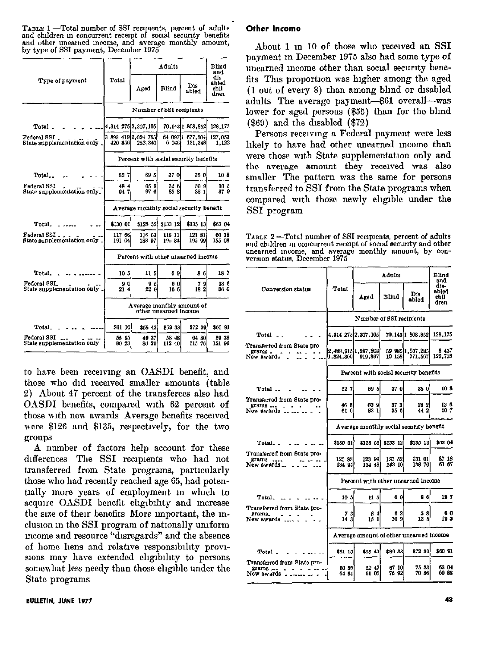TABLE 1 - Total number of SSI recipients, percent of adults and children in concurrent receipt of social security benefits and other unearned income, and average monthly amount<br>by type of SSI payment, December 1975

|                                            |                                                    |                                       | Blind<br>and    |                             |                              |  |
|--------------------------------------------|----------------------------------------------------|---------------------------------------|-----------------|-----------------------------|------------------------------|--|
| Type of payment                            | Total                                              | Aged                                  | Blind           | Dis<br>abled                | dis<br>abled<br>chil<br>dren |  |
|                                            | Number of SSI recipients                           |                                       |                 |                             |                              |  |
| Total _                                    |                                                    | 4,314 275 2,307,105                   |                 | 70 143 1 808 852            | 128,175                      |  |
| Federal SSI<br>State supplementation only  | 420 856                                            | 3 893 419 2,024 765<br>282,340        | 6 046           | 64 097 1 677,504<br>131.348 | 127,053<br>1,122             |  |
|                                            |                                                    | Percent with social security benefits |                 |                             |                              |  |
| Total                                      | 527                                                | 69 SI                                 | 37 Ol           | 35 Ol                       | 10 8                         |  |
| Federal SSI<br>State supplementation only_ | 4844<br>947                                        | 65 9<br>97 6                          | 32 6<br>85 8    | 90 O<br>88 L                | 10 5<br>37 9                 |  |
|                                            | Average monthly social security benefit            |                                       |                 |                             |                              |  |
| Total.                                     | \$130 01                                           | \$128 55.                             | 8133 121        | \$135 13                    | \$63.04                      |  |
| Federal SSI.<br>State supplementation only | 117 66<br>191 04                                   | 116 63<br>183 97                      | 118 11<br>19584 | 121 81<br>195 99            | 60 18<br>155 08              |  |
|                                            |                                                    | Percent with other unearned income    |                 |                             |                              |  |
| Total.                                     | 10 <sub>5</sub>                                    | 11 51                                 | 691             | 86                          | 187                          |  |
| Federal SSI.<br>State supplementation only | 90<br>214                                          | 95<br>22 9                            | 60<br>16 C      | 79<br>182                   | 18 6<br>36 0                 |  |
|                                            | Average monthly amount of<br>other unearned income |                                       |                 |                             |                              |  |
| Total_                                     | \$61 10                                            | \$55 431                              | \$69 33l        | \$72 39                     | \$60 SI                      |  |
| Federal SSI<br>State supplementation only  | 55 95<br>90 231                                    | 4937<br>80-29                         | 58 48<br>112 40 | 64 80<br>115 76             | 5938<br>151 96               |  |

to have been recewmg an OASDI benefit, and those who did received smaller amounts (table 2) About 47 percent of the transferees also had OASDI benefits, compared with 62 percent of those with new awards Average benefits received were \$126 and \$135, respectwely, for the two groups

A number of factors help account for these differences The SSI recipients who had not transferred from State programs, particularly those who had recently reached age 65, had potentially more years of employment in which to acquire OASDI benefit eligibility and increase the size of their benefits More important, the inclusion in the SSI program of nationally uniform mome and resource "disregards" and the absence of home hens and relative responsibility provisions may have extended eligibility to persons somewhat less needy than those eligible under the state programs

#### Other Income

About 1 m 10 of those who recewed an SSI payment m December 1975 also had some type of unearned income other than social security benefits This proportion was higher among the aged (1 out of every 8) than among blmd or disabled adults The average payment-\$61 overall--was lower for aged persons (\$55) than for the blind (\$69) and the disabled (\$72)

Persons receiving a Federal payment were less hkely to have had other unearned mcome than were those wth State supplementation only and the average amount they received was also smaller The pattern was the same for persons transferred to SSI from the State programs when compared with those newly ehglble under the SSI program

TABLE 2-Total number of SSI recipients, percent of adults and children in concurrent receipt of social security and other unearned mcome, and average monthly amount, by eonversion status, December 1975

|                                                                     |                                         |                                         | <b>Blind</b><br>and |                             |                               |  |  |
|---------------------------------------------------------------------|-----------------------------------------|-----------------------------------------|---------------------|-----------------------------|-------------------------------|--|--|
| Conversion status                                                   | Total                                   | Azed                                    | Blind               | Dis<br>abled                | dis-<br>sbled<br>chil<br>dren |  |  |
|                                                                     |                                         | Number of SSI recipients                |                     |                             |                               |  |  |
| Total                                                               |                                         | 4.314 275 2,307,105                     |                     | 70.14311 808.852            | 128.175                       |  |  |
| Transferred from State pro<br>grams .<br>New awards                 | 1,824,360                               | 2,489,915 1,387,208<br>919,897          | 10 158              | 59 985 1,037,285<br>771,567 | 5437<br>122,738               |  |  |
|                                                                     |                                         | Percent with social security benefits   |                     |                             |                               |  |  |
| Total __                                                            | 527                                     | 695                                     | 37 0                | 35 O                        | 10 8                          |  |  |
| Transferred from State pro-<br>grams<br>New awards                  | 46 6<br>616                             | 609<br>83 11                            | 37 3<br>356.        | 28 2<br>442                 | 136<br>107                    |  |  |
|                                                                     |                                         | Average monthly social security benefit |                     |                             |                               |  |  |
| Total                                                               | \$130 01                                | \$128 55]                               | \$133 12            | \$135 13                    | \$63 04                       |  |  |
| Transferred from State pro-<br>grams<br>New awards                  | 125 88<br>134 94                        | 123 99<br>134 48                        | 131 52<br>143 10    | 131 01<br>138 70            | 87 18<br>61 67                |  |  |
|                                                                     |                                         | Percent with other unearned income      |                     |                             |                               |  |  |
| Total.                                                              | 10 <sub>5</sub>                         | 11 5                                    | 69                  | 86                          | 187                           |  |  |
| Transferred from State pro-<br>grams.<br>New awards _               | 73<br>14 3                              | 84<br>15 1                              | 62<br>109           | 58<br>12 L                  | 60<br>193                     |  |  |
|                                                                     | Average amount of other unearned income |                                         |                     |                             |                               |  |  |
| Total                                                               | \$61 10                                 | \$55 43                                 | \$69 33             | \$72.30                     | \$60.91                       |  |  |
| Transferred from State pro-<br>$grams$ <sub>---</sub><br>New awards | 60 35<br>64 61                          | 52 47<br>61 05.                         | 67 10<br>76 92      | 75 33<br>70 56              | 63 04<br>60.88                |  |  |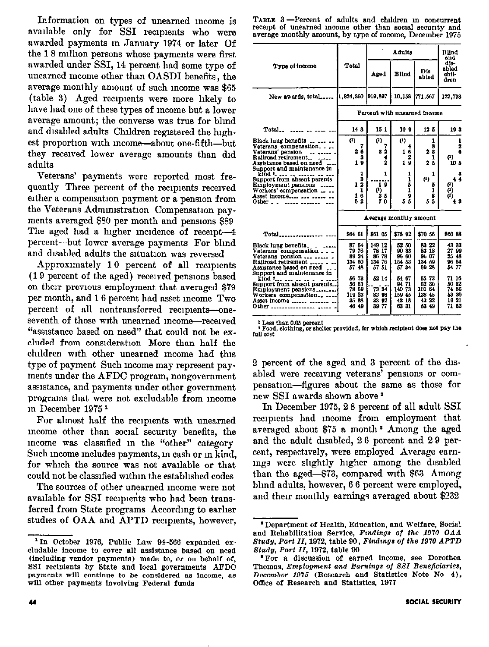Information on types of unearned mcome is available only for SSI recipients who were awarded payments m January 1974 or later Of the 18 million persons whose payments were first awarded under SSI, 14 percent had some type of unearned mcome other than OASDI benefits, the average monthly amount of such mcome was \$65 (table 3) Aged reclplents were more hkely to have had one of these types of mcome but a lower average amount; the converse was true for blmd and disabled adults Children registered the highest proportion with income-about one-fifth-but they recewed lower average amounts than did adults

Veterans' payments were reported most frequently Three percent of the recipients received either a compensation payment or a penslon from the Veterans Admmlstratlon Compensation payments averaged \$80 per month and pensions \$89 The aged had a higher incidence of receipt-4 percent-but lower average payments For blmd and disabled adults the situation was reversed

Approximately 10 percent of all recipients (19 percent of the aged) recewed pensions based on their previous employment that averaged \$79 per month, and 16 percent had asset mcome Two percent of all nontransferred recipients-oneseventh of those with unearned income-received "assistance based on need" that could not be excluded from consideration More than half the children with other unearned income had this type of payment Such mcome may represent pay ments under the AFDC program, nongovernment assistance, and payments under other government programs that were not excludable from mcome m December 1975 1

For almost half the recipients with unearned mcome other than social secunty benefits, the mcome was classified m the "other" category Such income includes payments, in cash or in kind, for which the source was not available or that could not be classified wlthm the estabhshed codes

The sources of other unearned mcome were not available for SSI recipients who had been transferred from State programs Accordmg to earher studies of OAA and APTD recipients, however,

TABLE 3-Percent of adults and children in concurrent recept of unearned income other than social security and average monthly amount, by type of income, December 1975

|                                                                                                                                                                                                                                                           | 1                                                                  |                                                             | Adulta                                                  | Blind<br>and                                                            |                                                             |
|-----------------------------------------------------------------------------------------------------------------------------------------------------------------------------------------------------------------------------------------------------------|--------------------------------------------------------------------|-------------------------------------------------------------|---------------------------------------------------------|-------------------------------------------------------------------------|-------------------------------------------------------------|
| Type of income                                                                                                                                                                                                                                            | Total                                                              | Aged                                                        | <b>Blind</b>                                            | Dis<br>abled                                                            | dis-<br>abled<br>chil-<br>dren                              |
| New awards, total                                                                                                                                                                                                                                         | $[1,824,360]$ 919,897                                              |                                                             | 10,158                                                  | 771,567                                                                 | 122,738                                                     |
|                                                                                                                                                                                                                                                           | Percent with unearned income                                       |                                                             |                                                         |                                                                         |                                                             |
| Total                                                                                                                                                                                                                                                     | 143                                                                | 15 1                                                        | 10 9                                                    | 12 5                                                                    | 193                                                         |
| Black lung benefits<br>Veterans compensation<br>Veterans' pension<br>Railroad retirement<br>Assistance based on need<br>Support and maintenance in<br>kind<br>Support from absent parents<br>Employment pensions<br>Workers' compensation<br>Asset income | $\left( 1\right)$<br>7<br>26<br>3<br>19<br>1<br>3<br>12<br>1<br>16 | $\left(1\right)$<br>7<br>32<br>4<br>2<br>1<br>19<br>0<br>25 | $\bf{r}$<br>4<br>16<br>2<br>19<br>1<br>1<br>5<br>i<br>9 | 1<br>8<br>23<br>ı<br>$2\bar{5}$<br>ı<br>$\left(1\right)$<br>5<br>1<br>8 | 1<br>$\overline{\mathbf{2}}$<br>ô<br>(1)<br>105<br>3<br>4 4 |
| Other $\overline{\phantom{a}}$ .<br>$\overline{a}$ $\overline{a}$ $\overline{a}$                                                                                                                                                                          | 62                                                                 | 70<br>Average monthly amount                                | 55                                                      | 55                                                                      | . 2                                                         |
| Total                                                                                                                                                                                                                                                     | S64 61                                                             | \$61 05                                                     | \$76 92                                                 | \$70.56                                                                 | \$60 88                                                     |
| Black lung benefits.<br>Veterans' compensation<br>Veterans pension   .<br>Railroad retirement _____ _<br>Assistance based on need<br>Support and maintenance in                                                                                           | 87 54<br>79 76<br>89 24 1<br>134 60<br>5748                        | 149 12<br>78 17<br>86 78<br>134 76<br>57 51                 | 52 50<br>90 33<br>96 60<br>154 53<br>57 34              | 83 22<br>83 18<br>96 C7<br>134 59<br>59 28                              | 43 33<br>27 99<br>25 48<br>96 54<br>54 77                   |
| kind     .<br>Support from absent parents<br>Employment pensions<br>Workers compensation<br>Asset income<br>Other                                                                                                                                         | 56 73<br>56 53<br>78 59<br>119 23<br>35 88<br>46 49                | 52 14<br>73 34<br>83 98<br>33 92<br>39 77                   | 54 67<br>94 71<br>14073<br>159 45<br>43 18<br>63 31     | 55.73<br>6236<br>101-64<br>138 45<br>43 22<br>53 49                     | 71 16<br>56 32<br>74 66<br>53 30<br>1921<br>71 52           |

<sup>1</sup> Less than 0.05 percent

Food, clothing, or shelter provided, for which recipient does not pay the full cost

2 percent of the aged and 3 percent of the disabled were recewmg veterans' penslons or compensatlon-figures about the same as those for new SSI awards shown above<sup>2</sup>

In December 1975,2 8 percent of all adult SSI recipients had income from employment that averaged about \$75 8 month' Among the aged and the adult dlsabled, 2 6 percent and 2 9 percent, respoctwely, were employed Average earnmgs were shghtly hlgher among the disabled than the aged-\$73, compared with \$63 Among blmd adults, however, 6 6 percent were employed, and their monthly earnings averaged about \$232

<sup>&</sup>lt;sup>1</sup> In October 1976, Public Law 94-566 expanded exeludable Income to cover all assistance based on need (including vendor paymenta) made to, or on behalf of, SSI recipients by State and local governments AFDC payments will continue to be considered as income, as will other payments involving Federal funds

<sup>&#</sup>x27; Department ai Health, Education, and Welfare, Social and Rehabilitation Service, Findings of the 1970 OAA Study, Part II, 1972, table 90, Findings of the 1970 APTD Btudu. Part II, 1972, table 96

<sup>\*</sup> For a discussion of earned income, see Dorothea Thomas, Employment and Earnings of SSI Beneficiaries, December 1975 (Research and Statistics Note No 4). Office of Research and Statistics, 1977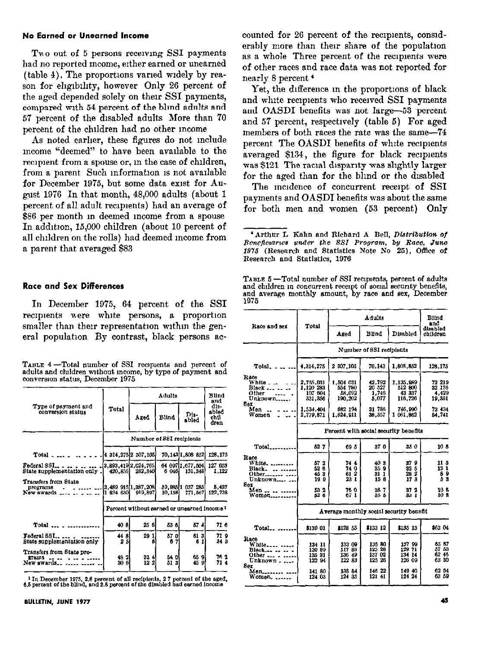#### No Earned or Unearned Income

Two out of 5 persons receiving SSI payments had no reported Income, either earned or unearned (table 4). The proportions varied widely by reason for eligibility, however Only 26 percent of the aged depended solely on their SSI payments, compared wth 54 percent of the blind adults and 57 percent of the disabled adults More than 70 percent of the children had no other Income

As noted earlier, these figures do not include mcome "deemed" to have been available to the recipient from a spouse or, in the case of children, from a parent Such information is not available for December 1975, but some data exist for August 1976 In that month, 48,000 adults (about 1 percent of all adult recipients) had an average of \$86 per month m deemed income from a spouse In addltlon, 15,000 children (about 10 percent of all children on the rolls) had deemed income from a parent that averaged \$83

#### Race and Sex Differences

In December 1975, 64 percent of the SSI recipients were white persons, a proportion smaller than their representation within the general population By contrast, black persons ac-

| TABLE 4-Total number of SSI recipients and percent of      |  |  |  |  |
|------------------------------------------------------------|--|--|--|--|
| adults and children without income, by type of payment and |  |  |  |  |
| conversion status. December 1975                           |  |  |  |  |

|                                                          |              |                                | Blind<br>and |                                             |                               |
|----------------------------------------------------------|--------------|--------------------------------|--------------|---------------------------------------------|-------------------------------|
| Type of payment and<br>conversion status                 | Total        | <b>Aged</b>                    | Blind        | Dis-<br>abled                               | dis-<br>ablad<br>chi.<br>dren |
|                                                          |              | Number of SSI recipients       |              |                                             |                               |
| $Total - $                                               |              | 4 314,275 2 307,105            |              | 70, 143 1, 808 852                          | 128,175                       |
| Federal SSI<br>State supplementation only                | 420.856      | 3,893,419 2,024,765<br>282,340 | 6 046)       | 64 097 1,677,504<br>131.348                 | 127 053<br>1,122              |
| Transfers from State<br>programs<br>New awards           | 1 824 630    | 2,489 915 1,387,208<br>019,897 | 10,158       | 59,985 1 037 285<br>771, 567                | 5,437<br>122.738              |
|                                                          |              |                                |              | Percent without earned or unearned income ? |                               |
| Total                                                    | 40 8         | 256                            | 53 6         | 574                                         | 71 6                          |
| Federal SSL.<br>State supplementation only               | 448<br>25    | 29 1<br>ĸ                      | 570<br>67    | 61 3.<br>6                                  | 719<br>34 <sub>3</sub>        |
| Transiers from State pro-<br><b>Trams</b><br>New awards. | 48.2<br>30 G | 32 4 I<br>122                  | 54 O<br>513  | 65 9<br>45<br>9                             | 73 2<br>71 4                  |

 $1 \text{ In}$  December 1975, 2.8 percent of all recipients, 2.7 percent of the aged, 6.5 percent of the blind, and 2.8 percent of the disabled had earned income

counted for 26 percent of the recipients, considerably more than ther share of the population as a whole Three percent of the recipients were of other races and race data was not reported for nearly 8 percent '

Yet, the difference in the proportions of black and white recipients who received SSI payments and OASDI benefits was not large-53 percent and 57 percent, respectwely (table 5) For aged members of both races the rate was the same-74 percent The OASDI benefits of white reclplents averaged \$134, the figure for black recipients was \$121 The racial disparity was slightly larger for the aged than for the bhnd or the dlssbled

The modence of concurrent receipt of SSI payments and OASDI benefits was about the same for both men and women (53 percent) Only

TABLE 5—Total number of SSI recipients, percent of adult:<br>and children in concurrent receipt of social security benefits and average monthly amount, by race and sex, Decembe 1975

| Race and sex                                                             | Total                                         |                                               | Adults                                         |                                                | <b>Blind</b><br>and                                |  |
|--------------------------------------------------------------------------|-----------------------------------------------|-----------------------------------------------|------------------------------------------------|------------------------------------------------|----------------------------------------------------|--|
|                                                                          |                                               | Azed                                          | Blind                                          | <b>Disabled</b>                                | disabled<br>children                               |  |
|                                                                          |                                               |                                               | Number of SSI recipients                       |                                                |                                                    |  |
| Total.                                                                   | 4,314,275                                     | 2 307,105                                     | 70.143                                         | 1,808,852                                      | 128,175                                            |  |
| Kaco<br>White _<br>Black<br>0 ther                                       | 2,755,031<br>1,120 283<br>107 604             | 1.504 031<br>554 780<br>58,092                | 42.792<br>20 527<br>1,746                      | 1,135,989<br>512 800<br>43 337                 | 72 219<br>32 176<br>4.429                          |  |
| Unknown.<br>3ex<br>Men<br>Women                                          | 331,356<br>1,534,404<br>2,779,871             | 190,202<br>682 194<br>1,624,911               | 5.077<br>31 786<br>38,357                      | 116,726<br>746 990<br>1061.862                 | 19,351<br>73 434<br>54,741                         |  |
|                                                                          |                                               | Percent with social security benefits         |                                                |                                                |                                                    |  |
| Total.                                                                   | 827                                           | 695                                           | 370                                            | 350                                            | 108                                                |  |
| Race<br>White.<br>Black.<br>Other<br>Unknown                             | 572<br>52 6<br>453<br>199                     | 744<br>74 0<br>61 2<br>23 1                   | 403<br>359<br>31 I<br>15 6                     | 379<br>32 5<br>28 2<br>173                     | 11 3<br>13 1<br>89<br>Ã8                           |  |
| Sex<br>$_{\rm Men}$ .<br>Women                                           | 53 2<br>52 6                                  | 76 0<br>67 1                                  | 387<br>85 S                                    | 37 2<br>33 I                                   | 10 8<br>108                                        |  |
|                                                                          |                                               | Average monthly social security benefit       |                                                |                                                |                                                    |  |
| Total                                                                    | \$130 01                                      | \$128 55                                      | \$133 12                                       | \$135 13                                       | \$63 04                                            |  |
| Race<br>White.<br>Flack.<br>Other <sub>-</sub><br>Unknown<br>Ser<br>Мөп. | 134 11<br>12089<br>135 31<br>122 94<br>141 80 | 133 09<br>11788<br>136 49<br>122 83<br>138 84 | 136 80<br>125 28<br>137 02<br>125 26<br>146 22 | 137 99<br>129 71<br>134 14<br>126 09<br>149 40 | 65 87<br>57 53<br>62 46<br>63 80<br>62 64<br>63 59 |  |
| Women                                                                    | 124 03                                        | 124 33                                        | 121 41                                         | 124 24                                         |                                                    |  |

 $'$  Arthur L Kahn and Richard A Bell, Distribution of Beneflouaries under the SSI Program, by Race, June  $1975$  (Research and Statistics Note No  $25$ ), Office of Research and Statistics, 1976